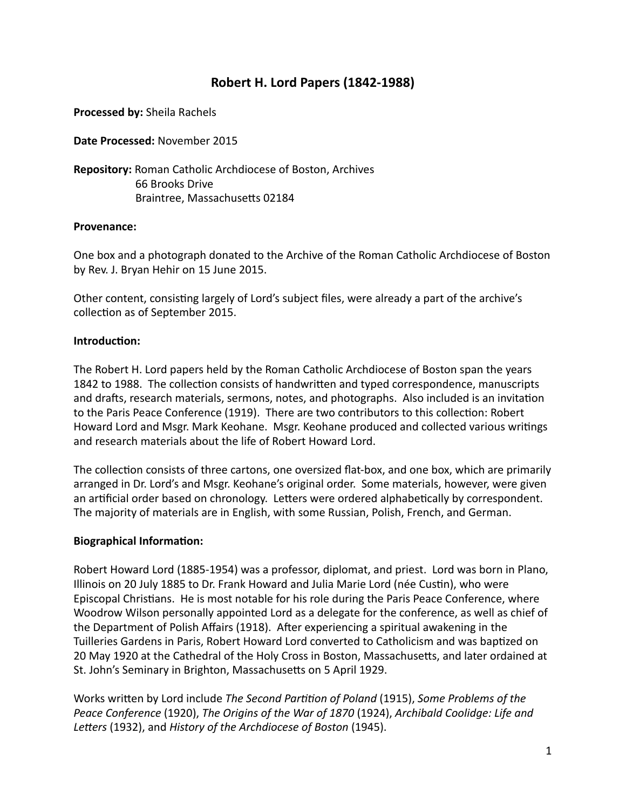# **Robert H. Lord Papers (1842-1988)**

**Processed by: Sheila Rachels** 

**Date Processed:** November 2015

**Repository:** Roman Catholic Archdiocese of Boston, Archives **66 Brooks Drive** Braintree, Massachusetts 02184

# **Provenance:**

One box and a photograph donated to the Archive of the Roman Catholic Archdiocese of Boston by Rev. J. Bryan Hehir on 15 June 2015.

Other content, consisting largely of Lord's subject files, were already a part of the archive's collection as of September 2015.

# **Introduction:**

The Robert H. Lord papers held by the Roman Catholic Archdiocese of Boston span the years 1842 to 1988. The collection consists of handwritten and typed correspondence, manuscripts and drafts, research materials, sermons, notes, and photographs. Also included is an invitation to the Paris Peace Conference (1919). There are two contributors to this collection: Robert Howard Lord and Msgr. Mark Keohane. Msgr. Keohane produced and collected various writings and research materials about the life of Robert Howard Lord.

The collection consists of three cartons, one oversized flat-box, and one box, which are primarily arranged in Dr. Lord's and Msgr. Keohane's original order. Some materials, however, were given an artificial order based on chronology. Letters were ordered alphabetically by correspondent. The majority of materials are in English, with some Russian, Polish, French, and German.

## **Biographical Information:**

Robert Howard Lord (1885-1954) was a professor, diplomat, and priest. Lord was born in Plano, Illinois on 20 July 1885 to Dr. Frank Howard and Julia Marie Lord (née Custin), who were Episcopal Christians. He is most notable for his role during the Paris Peace Conference, where Woodrow Wilson personally appointed Lord as a delegate for the conference, as well as chief of the Department of Polish Affairs (1918). After experiencing a spiritual awakening in the Tuilleries Gardens in Paris, Robert Howard Lord converted to Catholicism and was baptized on 20 May 1920 at the Cathedral of the Holy Cross in Boston, Massachusetts, and later ordained at St. John's Seminary in Brighton, Massachusetts on 5 April 1929.

Works written by Lord include *The Second Partition of Poland* (1915), *Some Problems of the Peace Conference* (1920), *The Origins of the War of 1870* (1924), *Archibald Coolidge: Life and* Letters (1932), and *History of the Archdiocese of Boston* (1945).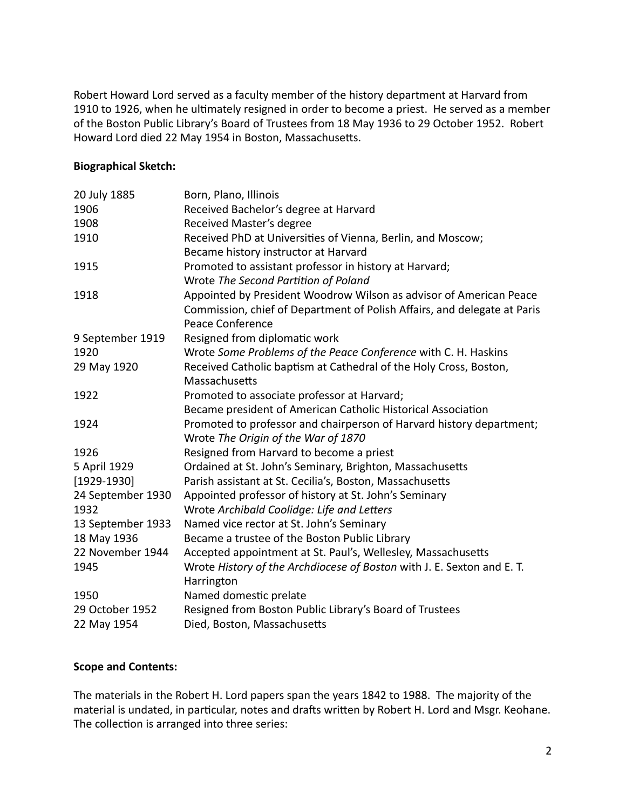Robert Howard Lord served as a faculty member of the history department at Harvard from 1910 to 1926, when he ultimately resigned in order to become a priest. He served as a member of the Boston Public Library's Board of Trustees from 18 May 1936 to 29 October 1952. Robert Howard Lord died 22 May 1954 in Boston, Massachusetts.

## **Biographical Sketch:**

| 20 July 1885      | Born, Plano, Illinois                                                                               |
|-------------------|-----------------------------------------------------------------------------------------------------|
| 1906              | Received Bachelor's degree at Harvard                                                               |
| 1908              | Received Master's degree                                                                            |
| 1910              | Received PhD at Universities of Vienna, Berlin, and Moscow;                                         |
|                   | Became history instructor at Harvard                                                                |
| 1915              | Promoted to assistant professor in history at Harvard;                                              |
|                   | Wrote The Second Partition of Poland                                                                |
| 1918              | Appointed by President Woodrow Wilson as advisor of American Peace                                  |
|                   | Commission, chief of Department of Polish Affairs, and delegate at Paris<br><b>Peace Conference</b> |
| 9 September 1919  | Resigned from diplomatic work                                                                       |
| 1920              | Wrote Some Problems of the Peace Conference with C. H. Haskins                                      |
| 29 May 1920       | Received Catholic baptism at Cathedral of the Holy Cross, Boston,                                   |
|                   | Massachusetts                                                                                       |
| 1922              | Promoted to associate professor at Harvard;                                                         |
|                   | Became president of American Catholic Historical Association                                        |
| 1924              | Promoted to professor and chairperson of Harvard history department;                                |
|                   | Wrote The Origin of the War of 1870                                                                 |
| 1926              | Resigned from Harvard to become a priest                                                            |
| 5 April 1929      | Ordained at St. John's Seminary, Brighton, Massachusetts                                            |
| $[1929-1930]$     | Parish assistant at St. Cecilia's, Boston, Massachusetts                                            |
| 24 September 1930 | Appointed professor of history at St. John's Seminary                                               |
| 1932              | Wrote Archibald Coolidge: Life and Letters                                                          |
| 13 September 1933 | Named vice rector at St. John's Seminary                                                            |
| 18 May 1936       | Became a trustee of the Boston Public Library                                                       |
| 22 November 1944  | Accepted appointment at St. Paul's, Wellesley, Massachusetts                                        |
| 1945              | Wrote History of the Archdiocese of Boston with J. E. Sexton and E. T.                              |
|                   | Harrington                                                                                          |
| 1950              | Named domestic prelate                                                                              |
| 29 October 1952   | Resigned from Boston Public Library's Board of Trustees                                             |
| 22 May 1954       | Died, Boston, Massachusetts                                                                         |

## **Scope and Contents:**

The materials in the Robert H. Lord papers span the years 1842 to 1988. The majority of the material is undated, in particular, notes and drafts written by Robert H. Lord and Msgr. Keohane. The collection is arranged into three series: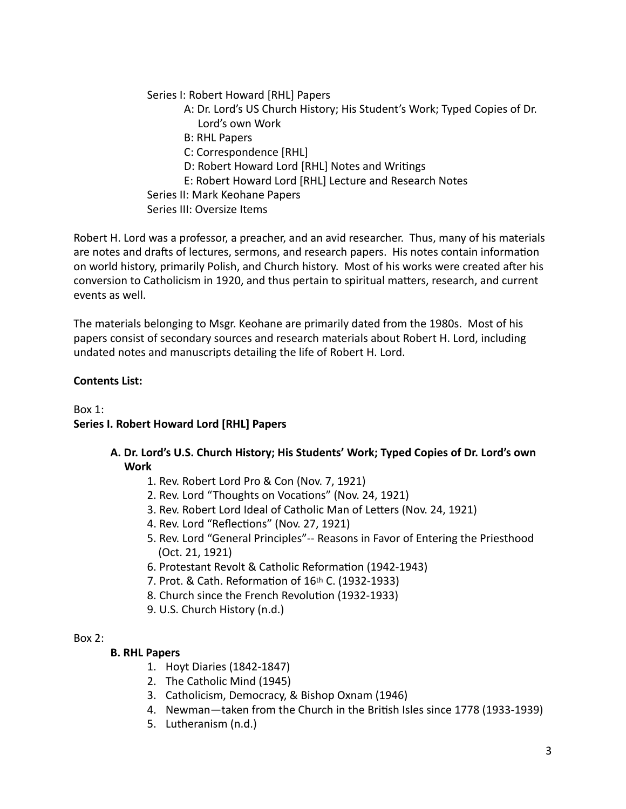Series I: Robert Howard [RHL] Papers

- A: Dr. Lord's US Church History; His Student's Work; Typed Copies of Dr. Lord's own Work
- B: RHL Papers
- C: Correspondence [RHL]
- D: Robert Howard Lord [RHL] Notes and Writings
- E: Robert Howard Lord [RHL] Lecture and Research Notes
- Series II: Mark Keohane Papers

Series III: Oversize Items

Robert H. Lord was a professor, a preacher, and an avid researcher. Thus, many of his materials are notes and drafts of lectures, sermons, and research papers. His notes contain information on world history, primarily Polish, and Church history. Most of his works were created after his conversion to Catholicism in 1920, and thus pertain to spiritual matters, research, and current events as well.

The materials belonging to Msgr. Keohane are primarily dated from the 1980s. Most of his papers consist of secondary sources and research materials about Robert H. Lord, including undated notes and manuscripts detailing the life of Robert H. Lord.

# **Contents List:**

Box 1: **Series I. Robert Howard Lord [RHL] Papers** 

- A. Dr. Lord's U.S. Church History; His Students' Work; Typed Copies of Dr. Lord's own **Work** 
	- 1. Rev. Robert Lord Pro & Con (Nov. 7, 1921)
	- 2. Rev. Lord "Thoughts on Vocations" (Nov. 24, 1921)
	- 3. Rev. Robert Lord Ideal of Catholic Man of Letters (Nov. 24, 1921)
	- 4. Rev. Lord "Reflections" (Nov. 27, 1921)
	- 5. Rev. Lord "General Principles"-- Reasons in Favor of Entering the Priesthood (Oct. 21, 1921)
	- 6. Protestant Revolt & Catholic Reformation (1942-1943)
	- 7. Prot. & Cath. Reformation of 16th C. (1932-1933)
	- 8. Church since the French Revolution (1932-1933)
	- 9. U.S. Church History (n.d.)

## Box  $2$ :

## **B. RHL Papers**

- 1. Hoyt Diaries (1842-1847)
- 2. The Catholic Mind (1945)
- 3. Catholicism, Democracy, & Bishop Oxnam (1946)
- 4. Newman—taken from the Church in the British Isles since 1778 (1933-1939)
- 5. Lutheranism (n.d.)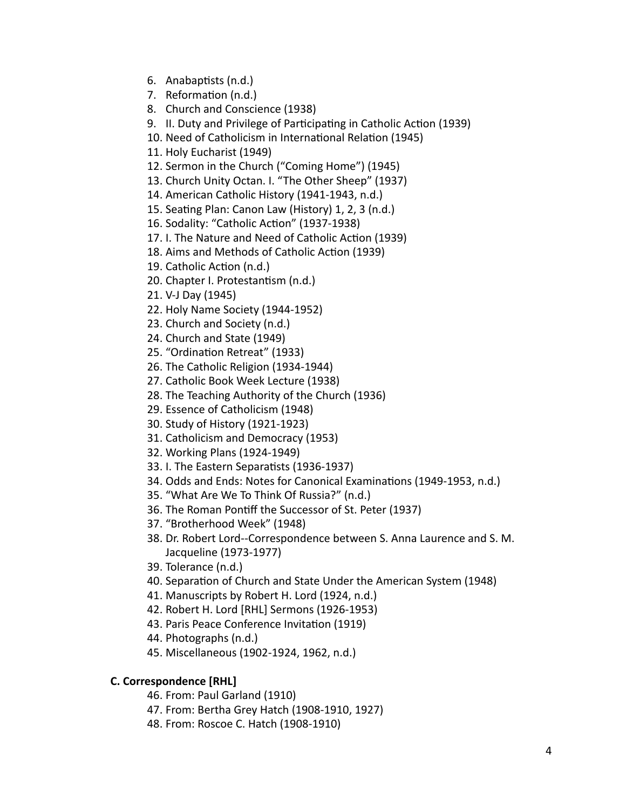- 6. Anabaptists (n.d.)
- 7. Reformation (n.d.)
- 8. Church and Conscience (1938)
- 9. II. Duty and Privilege of Participating in Catholic Action (1939)
- 10. Need of Catholicism in International Relation (1945)
- 11. Holy Eucharist (1949)
- 12. Sermon in the Church ("Coming Home") (1945)
- 13. Church Unity Octan. I. "The Other Sheep" (1937)
- 14. American Catholic History (1941-1943, n.d.)
- 15. Seating Plan: Canon Law (History) 1, 2, 3 (n.d.)
- 16. Sodality: "Catholic Action" (1937-1938)
- 17. I. The Nature and Need of Catholic Action (1939)
- 18. Aims and Methods of Catholic Action (1939)
- 19. Catholic Action (n.d.)
- 20. Chapter I. Protestantism (n.d.)
- 21. V-J Day (1945)
- 22. Holy Name Society (1944-1952)
- 23. Church and Society (n.d.)
- 24. Church and State (1949)
- 25. "Ordination Retreat" (1933)
- 26. The Catholic Religion (1934-1944)
- 27. Catholic Book Week Lecture (1938)
- 28. The Teaching Authority of the Church (1936)
- 29. Essence of Catholicism (1948)
- 30. Study of History (1921-1923)
- 31. Catholicism and Democracy (1953)
- 32. Working Plans (1924-1949)
- 33. I. The Eastern Separatists (1936-1937)
- 34. Odds and Ends: Notes for Canonical Examinations (1949-1953, n.d.)
- 35. "What Are We To Think Of Russia?" (n.d.)
- 36. The Roman Pontiff the Successor of St. Peter (1937)
- 37. "Brotherhood Week" (1948)
- 38. Dr. Robert Lord--Correspondence between S. Anna Laurence and S. M. Jacqueline (1973-1977)
- 39. Tolerance (n.d.)
- 40. Separation of Church and State Under the American System (1948)
- 41. Manuscripts by Robert H. Lord (1924, n.d.)
- 42. Robert H. Lord [RHL] Sermons (1926-1953)
- 43. Paris Peace Conference Invitation (1919)
- 44. Photographs (n.d.)
- 45. Miscellaneous (1902-1924, 1962, n.d.)

# **C. Correspondence [RHL]**

- 46. From: Paul Garland (1910)
- 47. From: Bertha Grey Hatch (1908-1910, 1927)
- 48. From: Roscoe C. Hatch (1908-1910)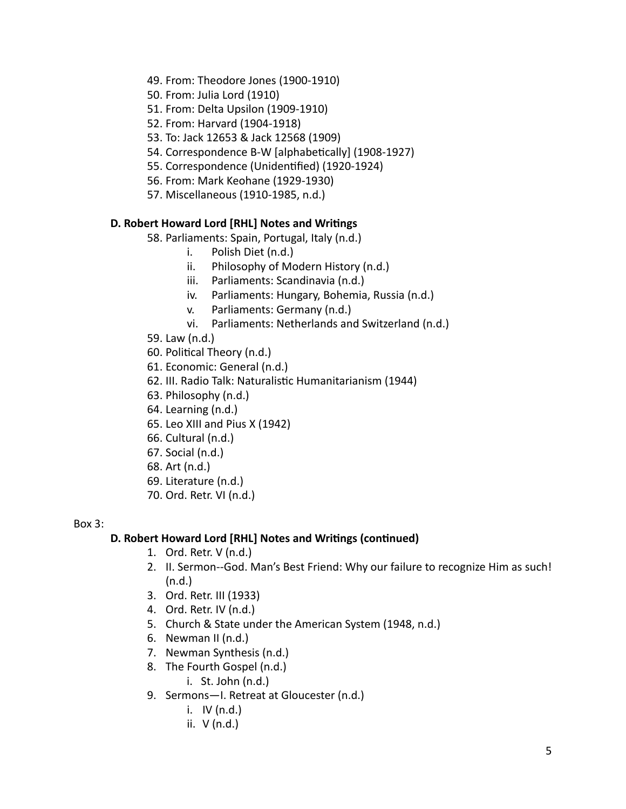- 49. From: Theodore Jones (1900-1910)
- 50. From: Julia Lord (1910)
- 51. From: Delta Upsilon (1909-1910)
- 52. From: Harvard (1904-1918)
- 53. To: Jack 12653 & Jack 12568 (1909)
- 54. Correspondence B-W [alphabetically] (1908-1927)
- 55. Correspondence (Unidentified) (1920-1924)
- 56. From: Mark Keohane (1929-1930)
- 57. Miscellaneous (1910-1985, n.d.)

# **D. Robert Howard Lord [RHL] Notes and Writings**

58. Parliaments: Spain, Portugal, Italy (n.d.)

- i. Polish Diet (n.d.)
- ii. Philosophy of Modern History (n.d.)
- iii. Parliaments: Scandinavia (n.d.)
- iv. Parliaments: Hungary, Bohemia, Russia (n.d.)
- v. Parliaments: Germany (n.d.)
- vi. Parliaments: Netherlands and Switzerland (n.d.)
- 59. Law (n.d.)
- 60. Political Theory (n.d.)
- 61. Economic: General (n.d.)
- 62. III. Radio Talk: Naturalistic Humanitarianism (1944)
- 63. Philosophy (n.d.)
- 64. Learning (n.d.)
- 65. Leo XIII and Pius X (1942)
- 66. Cultural (n.d.)
- $67.$  Social (n.d.)
- 68. Art (n.d.)
- 69. Literature (n.d.)
- 70. Ord. Retr. VI (n.d.)

#### Box 3:

# D. Robert Howard Lord [RHL] Notes and Writings (continued)

- 1. Ord. Retr.  $V$  (n.d.)
- 2. II. Sermon--God. Man's Best Friend: Why our failure to recognize Him as such! (n.d.)
- 3. Ord. Retr. III (1933)
- 4. Ord. Retr. IV (n.d.)
- 5. Church & State under the American System (1948, n.d.)
- 6. Newman  $II$  (n.d.)
- 7. Newman Synthesis (n.d.)
- 8. The Fourth Gospel (n.d.)
	- $i.$  St. John  $(n.d.)$
- 9. Sermons-I. Retreat at Gloucester (n.d.)
	- i.  $IV$  (n.d.)
	- ii.  $V$  (n.d.)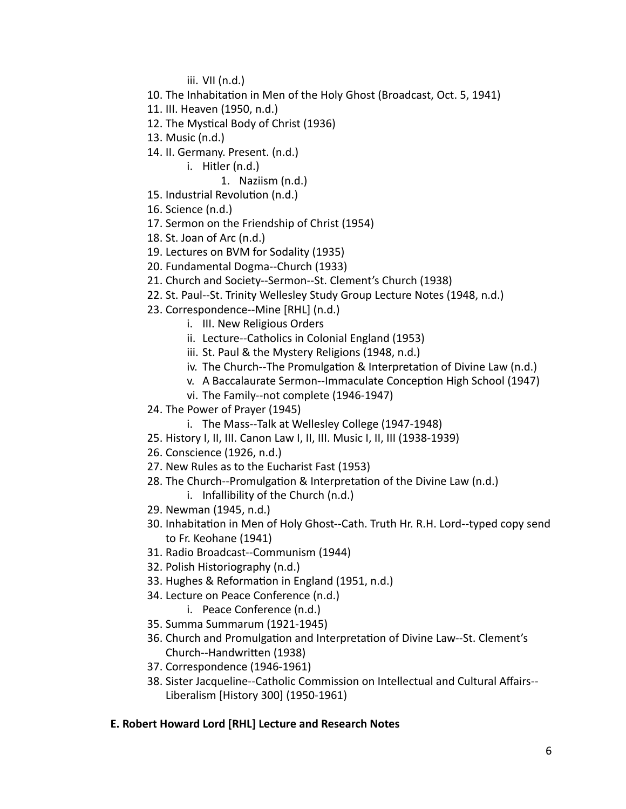iii. VII (n.d.)

- 10. The Inhabitation in Men of the Holy Ghost (Broadcast, Oct. 5, 1941)
- 11. III. Heaven (1950, n.d.)
- 12. The Mystical Body of Christ (1936)
- 13. Music (n.d.)
- 14. II. Germany. Present. (n.d.)
	- i. Hitler (n.d.)
		- 1. Naziism (n.d.)
- 15. Industrial Revolution (n.d.)
- 16. Science (n.d.)
- 17. Sermon on the Friendship of Christ (1954)
- 18. St. Joan of Arc (n.d.)
- 19. Lectures on BVM for Sodality (1935)
- 20. Fundamental Dogma--Church (1933)
- 21. Church and Society--Sermon--St. Clement's Church (1938)
- 22. St. Paul--St. Trinity Wellesley Study Group Lecture Notes (1948, n.d.)
- 23. Correspondence--Mine [RHL] (n.d.)
	- i. III. New Religious Orders
	- ii. Lecture--Catholics in Colonial England (1953)
	- iii. St. Paul & the Mystery Religions (1948, n.d.)
	- iv. The Church--The Promulgation & Interpretation of Divine Law (n.d.)
	- v. A Baccalaurate Sermon--Immaculate Conception High School (1947)
	- vi. The Family--not complete (1946-1947)
- 24. The Power of Prayer (1945)
	- i. The Mass--Talk at Wellesley College (1947-1948)
- 25. History I, II, III. Canon Law I, II, III. Music I, II, III (1938-1939)
- 26. Conscience (1926, n.d.)
- 27. New Rules as to the Eucharist Fast (1953)
- 28. The Church--Promulgation & Interpretation of the Divine Law (n.d.)
	- i. Infallibility of the Church  $(n.d.)$
- 29. Newman (1945, n.d.)
- 30. Inhabitation in Men of Holy Ghost--Cath. Truth Hr. R.H. Lord--typed copy send to Fr. Keohane (1941)
- 31. Radio Broadcast--Communism (1944)
- 32. Polish Historiography (n.d.)
- 33. Hughes & Reformation in England (1951, n.d.)
- 34. Lecture on Peace Conference (n.d.)
	- i. Peace Conference (n.d.)
- 35. Summa Summarum (1921-1945)
- 36. Church and Promulgation and Interpretation of Divine Law--St. Clement's Church--Handwritten (1938)
- 37. Correspondence (1946-1961)
- 38. Sister Jacqueline--Catholic Commission on Intellectual and Cultural Affairs--Liberalism [History 300] (1950-1961)

# **E. Robert Howard Lord [RHL] Lecture and Research Notes**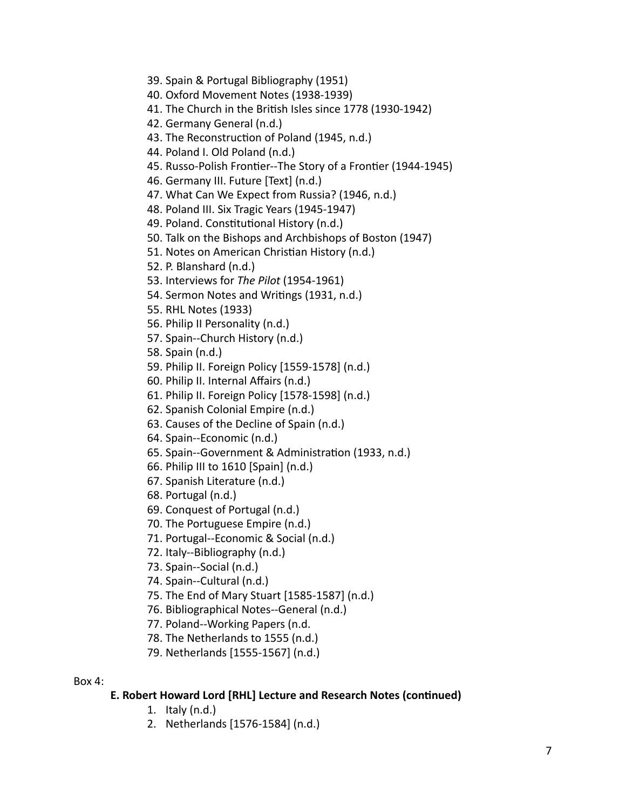- 39. Spain & Portugal Bibliography (1951)
- 40. Oxford Movement Notes (1938-1939)
- 41. The Church in the British Isles since 1778 (1930-1942)
- 42. Germany General (n.d.)
- 43. The Reconstruction of Poland (1945, n.d.)
- 44. Poland I. Old Poland (n.d.)
- 45. Russo-Polish Frontier--The Story of a Frontier (1944-1945)
- 46. Germany III. Future [Text] (n.d.)
- 47. What Can We Expect from Russia? (1946, n.d.)
- 48. Poland III. Six Tragic Years (1945-1947)
- 49. Poland. Constitutional History (n.d.)
- 50. Talk on the Bishops and Archbishops of Boston (1947)
- 51. Notes on American Christian History (n.d.)
- 52. P. Blanshard (n.d.)
- 53. Interviews for The Pilot (1954-1961)
- 54. Sermon Notes and Writings (1931, n.d.)
- 55. RHL Notes (1933)
- 56. Philip II Personality (n.d.)
- 57. Spain--Church History (n.d.)
- 58. Spain (n.d.)
- 59. Philip II. Foreign Policy [1559-1578] (n.d.)
- 60. Philip II. Internal Affairs (n.d.)
- 61. Philip II. Foreign Policy [1578-1598] (n.d.)
- 62. Spanish Colonial Empire (n.d.)
- 63. Causes of the Decline of Spain (n.d.)
- 64. Spain--Economic (n.d.)
- 65. Spain--Government & Administration (1933, n.d.)
- 66. Philip III to 1610 [Spain] (n.d.)
- 67. Spanish Literature (n.d.)
- 68. Portugal (n.d.)
- 69. Conquest of Portugal (n.d.)
- 70. The Portuguese Empire (n.d.)
- 71. Portugal--Economic & Social (n.d.)
- 72. Italy--Bibliography (n.d.)
- 73. Spain--Social (n.d.)
- 74. Spain--Cultural (n.d.)
- 75. The End of Mary Stuart [1585-1587] (n.d.)
- 76. Bibliographical Notes--General (n.d.)
- 77. Poland--Working Papers (n.d.
- 78. The Netherlands to 1555 (n.d.)
- 79. Netherlands [1555-1567] (n.d.)

#### Box 4:

## **E. Robert Howard Lord [RHL] Lecture and Research Notes (continued)**

- 1. Italy  $(n.d.)$
- 2. Netherlands [1576-1584] (n.d.)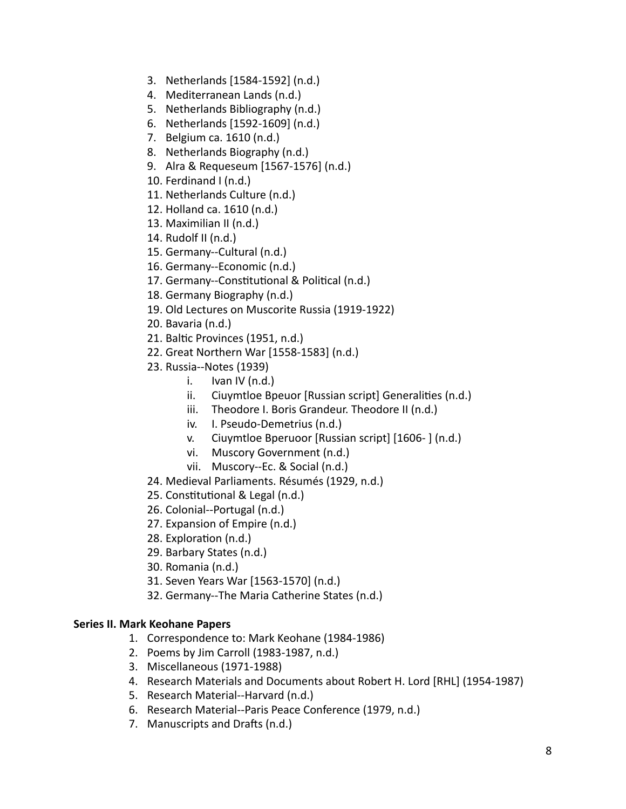- 3. Netherlands [1584-1592] (n.d.)
- 4. Mediterranean Lands (n.d.)
- 5. Netherlands Bibliography (n.d.)
- 6. Netherlands [1592-1609] (n.d.)
- 7. Belgium ca. 1610 (n.d.)
- 8. Netherlands Biography (n.d.)
- 9. Alra & Requeseum [1567-1576] (n.d.)
- 10. Ferdinand  $I(n.d.)$
- 11. Netherlands Culture (n.d.)
- 12. Holland ca. 1610 (n.d.)
- 13. Maximilian II (n.d.)
- 14. Rudolf II (n.d.)
- 15. Germany--Cultural (n.d.)
- 16. Germany--Economic (n.d.)
- 17. Germany--Constitutional & Political (n.d.)
- 18. Germany Biography (n.d.)
- 19. Old Lectures on Muscorite Russia (1919-1922)
- 20. Bavaria (n.d.)
- 21. Baltic Provinces (1951, n.d.)
- 22. Great Northern War [1558-1583] (n.d.)
- 23. Russia--Notes (1939)
	- i. Ivan IV  $(n.d.)$
	- ii. Ciuymtloe Bpeuor [Russian script] Generalities (n.d.)
	- iii. Theodore I. Boris Grandeur. Theodore II (n.d.)
	- iv. I. Pseudo-Demetrius (n.d.)
	- v. Ciuymtloe Bperuoor [Russian script] [1606-] (n.d.)
	- vi. Muscory Government (n.d.)
	- vii. Muscory--Ec. & Social (n.d.)
- 24. Medieval Parliaments. Résumés (1929, n.d.)
- 25. Constitutional & Legal (n.d.)
- 26. Colonial--Portugal (n.d.)
- 27. Expansion of Empire (n.d.)
- 28. Exploration (n.d.)
- 29. Barbary States (n.d.)
- 30. Romania (n.d.)
- 31. Seven Years War [1563-1570] (n.d.)
- 32. Germany--The Maria Catherine States (n.d.)

## **Series II. Mark Keohane Papers**

- 1. Correspondence to: Mark Keohane (1984-1986)
- 2. Poems by Jim Carroll (1983-1987, n.d.)
- 3. Miscellaneous (1971-1988)
- 4. Research Materials and Documents about Robert H. Lord [RHL] (1954-1987)
- 5. Research Material--Harvard (n.d.)
- 6. Research Material--Paris Peace Conference (1979, n.d.)
- 7. Manuscripts and Drafts (n.d.)